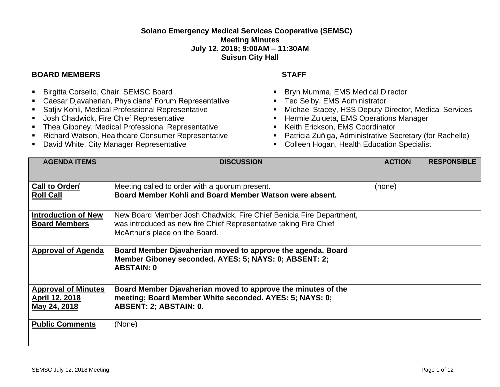## **Solano Emergency Medical Services Cooperative (SEMSC) Meeting Minutes July 12, 2018; 9:00AM – 11:30AM Suisun City Hall**

## **BOARD MEMBERS STAFF**

- **E** Birgitta Corsello, Chair, SEMSC Board
- Caesar Djavaherian, Physicians' Forum Representative
- Satjiv Kohli, Medical Professional Representative
- Josh Chadwick, Fire Chief Representative
- Thea Giboney, Medical Professional Representative
- Richard Watson, Healthcare Consumer Representative
- David White, City Manager Representative

- Bryn Mumma, EMS Medical Director
- Ted Selby, EMS Administrator
- Michael Stacey, HSS Deputy Director, Medical Services
- **E** Hermie Zulueta, EMS Operations Manager
- Keith Erickson, EMS Coordinator
- Patricia Zuñiga, Administrative Secretary (for Rachelle)
- Colleen Hogan, Health Education Specialist

| <b>AGENDA ITEMS</b>                                                 | <b>DISCUSSION</b>                                                                                                                                                          | <b>ACTION</b> | <b>RESPONSIBLE</b> |
|---------------------------------------------------------------------|----------------------------------------------------------------------------------------------------------------------------------------------------------------------------|---------------|--------------------|
| Call to Order/<br><b>Roll Call</b>                                  | Meeting called to order with a quorum present.<br>Board Member Kohli and Board Member Watson were absent.                                                                  | (none)        |                    |
| <b>Introduction of New</b><br><b>Board Members</b>                  | New Board Member Josh Chadwick, Fire Chief Benicia Fire Department,<br>was introduced as new fire Chief Representative taking Fire Chief<br>McArthur's place on the Board. |               |                    |
| <b>Approval of Agenda</b>                                           | Board Member Djavaherian moved to approve the agenda. Board<br>Member Giboney seconded. AYES: 5; NAYS: 0; ABSENT: 2;<br><b>ABSTAIN: 0</b>                                  |               |                    |
| <b>Approval of Minutes</b><br><u>April 12, 2018</u><br>May 24, 2018 | Board Member Djavaherian moved to approve the minutes of the<br>meeting; Board Member White seconded. AYES: 5; NAYS: 0;<br>ABSENT: 2; ABSTAIN: 0.                          |               |                    |
| <b>Public Comments</b>                                              | (None)                                                                                                                                                                     |               |                    |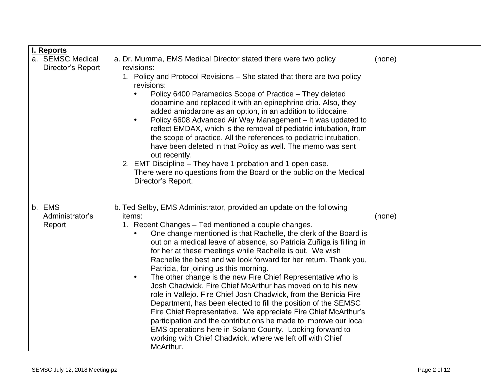| I. Reports                            |                                                                                                                                                                                                                                                                                                                                                                                                                                                                                                                                                                                                                                                                                                                                                                                                                                                                                                                                                                                                                         |        |  |
|---------------------------------------|-------------------------------------------------------------------------------------------------------------------------------------------------------------------------------------------------------------------------------------------------------------------------------------------------------------------------------------------------------------------------------------------------------------------------------------------------------------------------------------------------------------------------------------------------------------------------------------------------------------------------------------------------------------------------------------------------------------------------------------------------------------------------------------------------------------------------------------------------------------------------------------------------------------------------------------------------------------------------------------------------------------------------|--------|--|
| a. SEMSC Medical<br>Director's Report | a. Dr. Mumma, EMS Medical Director stated there were two policy<br>revisions:                                                                                                                                                                                                                                                                                                                                                                                                                                                                                                                                                                                                                                                                                                                                                                                                                                                                                                                                           | (none) |  |
|                                       | 1. Policy and Protocol Revisions – She stated that there are two policy<br>revisions:<br>Policy 6400 Paramedics Scope of Practice - They deleted<br>dopamine and replaced it with an epinephrine drip. Also, they<br>added amiodarone as an option, in an addition to lidocaine.<br>Policy 6608 Advanced Air Way Management - It was updated to<br>$\bullet$<br>reflect EMDAX, which is the removal of pediatric intubation, from<br>the scope of practice. All the references to pediatric intubation,<br>have been deleted in that Policy as well. The memo was sent<br>out recently.<br>2. EMT Discipline - They have 1 probation and 1 open case.<br>There were no questions from the Board or the public on the Medical<br>Director's Report.                                                                                                                                                                                                                                                                      |        |  |
| b. EMS<br>Administrator's<br>Report   | b. Ted Selby, EMS Administrator, provided an update on the following<br>items:<br>1. Recent Changes - Ted mentioned a couple changes.<br>One change mentioned is that Rachelle, the clerk of the Board is<br>out on a medical leave of absence, so Patricia Zuñiga is filling in<br>for her at these meetings while Rachelle is out. We wish<br>Rachelle the best and we look forward for her return. Thank you,<br>Patricia, for joining us this morning.<br>The other change is the new Fire Chief Representative who is<br>$\bullet$<br>Josh Chadwick. Fire Chief McArthur has moved on to his new<br>role in Vallejo. Fire Chief Josh Chadwick, from the Benicia Fire<br>Department, has been elected to fill the position of the SEMSC<br>Fire Chief Representative. We appreciate Fire Chief McArthur's<br>participation and the contributions he made to improve our local<br>EMS operations here in Solano County. Looking forward to<br>working with Chief Chadwick, where we left off with Chief<br>McArthur. | (none) |  |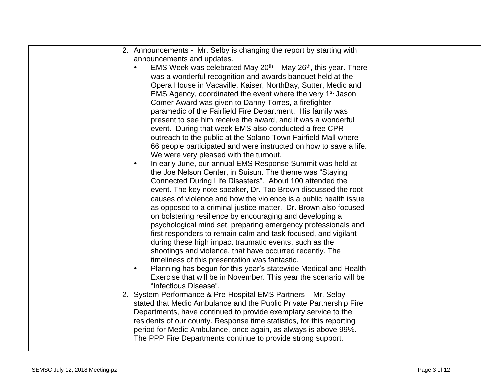| 2. Announcements - Mr. Selby is changing the report by starting with                  |  |
|---------------------------------------------------------------------------------------|--|
| announcements and updates.                                                            |  |
| EMS Week was celebrated May $20^{th}$ – May $26^{th}$ , this year. There<br>$\bullet$ |  |
| was a wonderful recognition and awards banquet held at the                            |  |
| Opera House in Vacaville. Kaiser, NorthBay, Sutter, Medic and                         |  |
| EMS Agency, coordinated the event where the very 1 <sup>st</sup> Jason                |  |
| Comer Award was given to Danny Torres, a firefighter                                  |  |
| paramedic of the Fairfield Fire Department. His family was                            |  |
| present to see him receive the award, and it was a wonderful                          |  |
| event. During that week EMS also conducted a free CPR                                 |  |
| outreach to the public at the Solano Town Fairfield Mall where                        |  |
| 66 people participated and were instructed on how to save a life.                     |  |
| We were very pleased with the turnout.                                                |  |
| In early June, our annual EMS Response Summit was held at<br>$\bullet$                |  |
| the Joe Nelson Center, in Suisun. The theme was "Staying"                             |  |
| Connected During Life Disasters". About 100 attended the                              |  |
| event. The key note speaker, Dr. Tao Brown discussed the root                         |  |
| causes of violence and how the violence is a public health issue                      |  |
| as opposed to a criminal justice matter. Dr. Brown also focused                       |  |
| on bolstering resilience by encouraging and developing a                              |  |
| psychological mind set, preparing emergency professionals and                         |  |
| first responders to remain calm and task focused, and vigilant                        |  |
| during these high impact traumatic events, such as the                                |  |
| shootings and violence, that have occurred recently. The                              |  |
| timeliness of this presentation was fantastic.                                        |  |
| Planning has begun for this year's statewide Medical and Health<br>$\bullet$          |  |
| Exercise that will be in November. This year the scenario will be                     |  |
| "Infectious Disease".                                                                 |  |
| 2. System Performance & Pre-Hospital EMS Partners - Mr. Selby                         |  |
| stated that Medic Ambulance and the Public Private Partnership Fire                   |  |
| Departments, have continued to provide exemplary service to the                       |  |
| residents of our county. Response time statistics, for this reporting                 |  |
| period for Medic Ambulance, once again, as always is above 99%.                       |  |
| The PPP Fire Departments continue to provide strong support.                          |  |
|                                                                                       |  |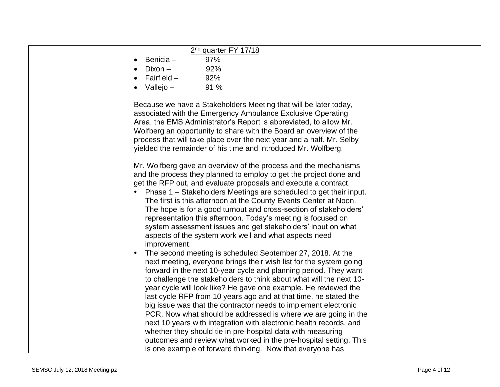| 2 <sup>nd</sup> quarter FY 17/18                                      |  |
|-----------------------------------------------------------------------|--|
| 97%<br>Benicia -                                                      |  |
| Dixon-<br>92%                                                         |  |
| Fairfield $-$<br>92%                                                  |  |
| Vallejo –<br>91 %<br>$\bullet$                                        |  |
|                                                                       |  |
| Because we have a Stakeholders Meeting that will be later today,      |  |
| associated with the Emergency Ambulance Exclusive Operating           |  |
| Area, the EMS Administrator's Report is abbreviated, to allow Mr.     |  |
| Wolfberg an opportunity to share with the Board an overview of the    |  |
| process that will take place over the next year and a half. Mr. Selby |  |
| yielded the remainder of his time and introduced Mr. Wolfberg.        |  |
|                                                                       |  |
| Mr. Wolfberg gave an overview of the process and the mechanisms       |  |
| and the process they planned to employ to get the project done and    |  |
| get the RFP out, and evaluate proposals and execute a contract.       |  |
| Phase 1 – Stakeholders Meetings are scheduled to get their input.     |  |
|                                                                       |  |
| The first is this afternoon at the County Events Center at Noon.      |  |
| The hope is for a good turnout and cross-section of stakeholders'     |  |
| representation this afternoon. Today's meeting is focused on          |  |
| system assessment issues and get stakeholders' input on what          |  |
| aspects of the system work well and what aspects need                 |  |
| improvement.                                                          |  |
| The second meeting is scheduled September 27, 2018. At the            |  |
| next meeting, everyone brings their wish list for the system going    |  |
| forward in the next 10-year cycle and planning period. They want      |  |
| to challenge the stakeholders to think about what will the next 10-   |  |
| year cycle will look like? He gave one example. He reviewed the       |  |
| last cycle RFP from 10 years ago and at that time, he stated the      |  |
| big issue was that the contractor needs to implement electronic       |  |
| PCR. Now what should be addressed is where we are going in the        |  |
| next 10 years with integration with electronic health records, and    |  |
| whether they should tie in pre-hospital data with measuring           |  |
| outcomes and review what worked in the pre-hospital setting. This     |  |
| is one example of forward thinking. Now that everyone has             |  |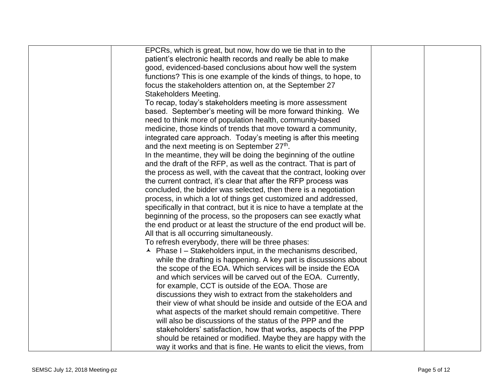| EPCRs, which is great, but now, how do we tie that in to the            |  |
|-------------------------------------------------------------------------|--|
| patient's electronic health records and really be able to make          |  |
| good, evidenced-based conclusions about how well the system             |  |
| functions? This is one example of the kinds of things, to hope, to      |  |
| focus the stakeholders attention on, at the September 27                |  |
| Stakeholders Meeting.                                                   |  |
| To recap, today's stakeholders meeting is more assessment               |  |
|                                                                         |  |
| based. September's meeting will be more forward thinking. We            |  |
| need to think more of population health, community-based                |  |
| medicine, those kinds of trends that move toward a community,           |  |
| integrated care approach. Today's meeting is after this meeting         |  |
| and the next meeting is on September 27th.                              |  |
| In the meantime, they will be doing the beginning of the outline        |  |
| and the draft of the RFP, as well as the contract. That is part of      |  |
| the process as well, with the caveat that the contract, looking over    |  |
| the current contract, it's clear that after the RFP process was         |  |
| concluded, the bidder was selected, then there is a negotiation         |  |
| process, in which a lot of things get customized and addressed,         |  |
| specifically in that contract, but it is nice to have a template at the |  |
| beginning of the process, so the proposers can see exactly what         |  |
| the end product or at least the structure of the end product will be.   |  |
| All that is all occurring simultaneously.                               |  |
| To refresh everybody, there will be three phases:                       |  |
| $\lambda$ Phase I – Stakeholders input, in the mechanisms described,    |  |
| while the drafting is happening. A key part is discussions about        |  |
| the scope of the EOA. Which services will be inside the EOA             |  |
| and which services will be carved out of the EOA. Currently,            |  |
| for example, CCT is outside of the EOA. Those are                       |  |
| discussions they wish to extract from the stakeholders and              |  |
| their view of what should be inside and outside of the EOA and          |  |
| what aspects of the market should remain competitive. There             |  |
| will also be discussions of the status of the PPP and the               |  |
| stakeholders' satisfaction, how that works, aspects of the PPP          |  |
| should be retained or modified. Maybe they are happy with the           |  |
| way it works and that is fine. He wants to elicit the views, from       |  |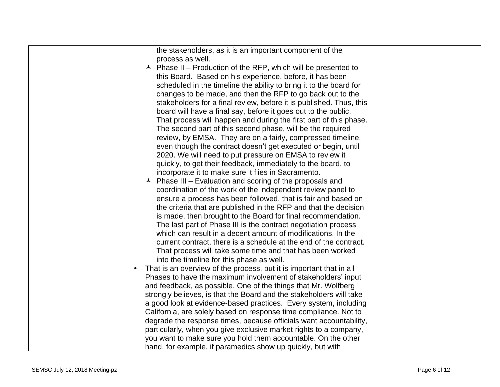| the stakeholders, as it is an important component of the                              |  |
|---------------------------------------------------------------------------------------|--|
|                                                                                       |  |
| process as well.                                                                      |  |
| $\overline{\phantom{a}}$ Phase II – Production of the RFP, which will be presented to |  |
| this Board. Based on his experience, before, it has been                              |  |
| scheduled in the timeline the ability to bring it to the board for                    |  |
| changes to be made, and then the RFP to go back out to the                            |  |
| stakeholders for a final review, before it is published. Thus, this                   |  |
| board will have a final say, before it goes out to the public.                        |  |
| That process will happen and during the first part of this phase.                     |  |
| The second part of this second phase, will be the required                            |  |
| review, by EMSA. They are on a fairly, compressed timeline,                           |  |
| even though the contract doesn't get executed or begin, until                         |  |
| 2020. We will need to put pressure on EMSA to review it                               |  |
| quickly, to get their feedback, immediately to the board, to                          |  |
| incorporate it to make sure it flies in Sacramento.                                   |  |
| Phase III – Evaluation and scoring of the proposals and                               |  |
| coordination of the work of the independent review panel to                           |  |
| ensure a process has been followed, that is fair and based on                         |  |
| the criteria that are published in the RFP and that the decision                      |  |
| is made, then brought to the Board for final recommendation.                          |  |
|                                                                                       |  |
| The last part of Phase III is the contract negotiation process                        |  |
| which can result in a decent amount of modifications. In the                          |  |
| current contract, there is a schedule at the end of the contract.                     |  |
| That process will take some time and that has been worked                             |  |
| into the timeline for this phase as well.                                             |  |
| That is an overview of the process, but it is important that in all                   |  |
| Phases to have the maximum involvement of stakeholders' input                         |  |
| and feedback, as possible. One of the things that Mr. Wolfberg                        |  |
| strongly believes, is that the Board and the stakeholders will take                   |  |
| a good look at evidence-based practices. Every system, including                      |  |
| California, are solely based on response time compliance. Not to                      |  |
| degrade the response times, because officials want accountability,                    |  |
| particularly, when you give exclusive market rights to a company,                     |  |
| you want to make sure you hold them accountable. On the other                         |  |
| hand, for example, if paramedics show up quickly, but with                            |  |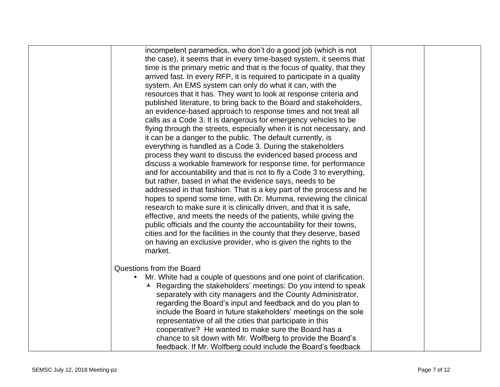| incompetent paramedics, who don't do a good job (which is not          |  |
|------------------------------------------------------------------------|--|
| the case), it seems that in every time-based system, it seems that     |  |
| time is the primary metric and that is the focus of quality, that they |  |
| arrived fast. In every RFP, it is required to participate in a quality |  |
| system. An EMS system can only do what it can, with the                |  |
| resources that it has. They want to look at response criteria and      |  |
| published literature, to bring back to the Board and stakeholders,     |  |
| an evidence-based approach to response times and not treat all         |  |
| calls as a Code 3. It is dangerous for emergency vehicles to be        |  |
| flying through the streets, especially when it is not necessary, and   |  |
| it can be a danger to the public. The default currently, is            |  |
| everything is handled as a Code 3. During the stakeholders             |  |
| process they want to discuss the evidenced based process and           |  |
| discuss a workable framework for response time, for performance        |  |
| and for accountability and that is not to fly a Code 3 to everything,  |  |
| but rather, based in what the evidence says, needs to be               |  |
| addressed in that fashion. That is a key part of the process and he    |  |
| hopes to spend some time, with Dr. Mumma, reviewing the clinical       |  |
| research to make sure it is clinically driven, and that it is safe,    |  |
| effective, and meets the needs of the patients, while giving the       |  |
| public officials and the county the accountability for their towns,    |  |
| cities and for the facilities in the county that they deserve, based   |  |
| on having an exclusive provider, who is given the rights to the        |  |
| market.                                                                |  |
|                                                                        |  |
| Questions from the Board                                               |  |
| Mr. White had a couple of questions and one point of clarification.    |  |
| A Regarding the stakeholders' meetings: Do you intend to speak         |  |
| separately with city managers and the County Administrator,            |  |
| regarding the Board's input and feedback and do you plan to            |  |
| include the Board in future stakeholders' meetings on the sole         |  |
| representative of all the cities that participate in this              |  |
| cooperative? He wanted to make sure the Board has a                    |  |
| chance to sit down with Mr. Wolfberg to provide the Board's            |  |
|                                                                        |  |
| feedback. If Mr. Wolfberg could include the Board's feedback           |  |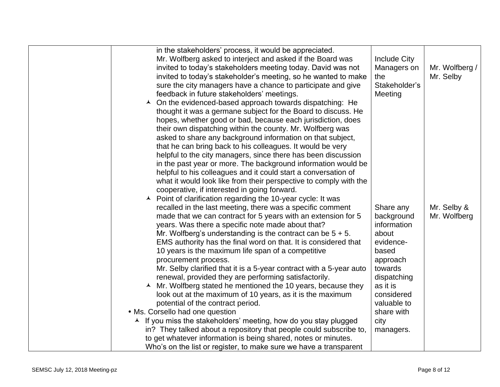| in the stakeholders' process, it would be appreciated.<br>Mr. Wolfberg asked to interject and asked if the Board was<br>invited to today's stakeholders meeting today. David was not<br>invited to today's stakeholder's meeting, so he wanted to make<br>sure the city managers have a chance to participate and give<br>feedback in future stakeholders' meetings.<br>$\lambda$ On the evidenced-based approach towards dispatching: He<br>thought it was a germane subject for the Board to discuss. He<br>hopes, whether good or bad, because each jurisdiction, does<br>their own dispatching within the county. Mr. Wolfberg was<br>asked to share any background information on that subject,<br>that he can bring back to his colleagues. It would be very<br>helpful to the city managers, since there has been discussion<br>in the past year or more. The background information would be<br>helpful to his colleagues and it could start a conversation of<br>what it would look like from their perspective to comply with the<br>cooperative, if interested in going forward.<br>$\lambda$ Point of clarification regarding the 10-year cycle: It was | <b>Include City</b><br>Managers on<br>the<br>Stakeholder's<br>Meeting                                                                                                                   | Mr. Wolfberg /<br>Mr. Selby |
|---------------------------------------------------------------------------------------------------------------------------------------------------------------------------------------------------------------------------------------------------------------------------------------------------------------------------------------------------------------------------------------------------------------------------------------------------------------------------------------------------------------------------------------------------------------------------------------------------------------------------------------------------------------------------------------------------------------------------------------------------------------------------------------------------------------------------------------------------------------------------------------------------------------------------------------------------------------------------------------------------------------------------------------------------------------------------------------------------------------------------------------------------------------------|-----------------------------------------------------------------------------------------------------------------------------------------------------------------------------------------|-----------------------------|
| recalled in the last meeting, there was a specific comment<br>made that we can contract for 5 years with an extension for 5<br>years. Was there a specific note made about that?<br>Mr. Wolfberg's understanding is the contract can be $5 + 5$ .<br>EMS authority has the final word on that. It is considered that<br>10 years is the maximum life span of a competitive<br>procurement process.<br>Mr. Selby clarified that it is a 5-year contract with a 5-year auto<br>renewal, provided they are performing satisfactorily.<br>▲ Mr. Wolfberg stated he mentioned the 10 years, because they<br>look out at the maximum of 10 years, as it is the maximum<br>potential of the contract period.<br>• Ms. Corsello had one question<br>A If you miss the stakeholders' meeting, how do you stay plugged<br>in? They talked about a repository that people could subscribe to,<br>to get whatever information is being shared, notes or minutes.<br>Who's on the list or register, to make sure we have a transparent                                                                                                                                           | Share any<br>background<br>information<br>about<br>evidence-<br>based<br>approach<br>towards<br>dispatching<br>as it is<br>considered<br>valuable to<br>share with<br>city<br>managers. | Mr. Selby &<br>Mr. Wolfberg |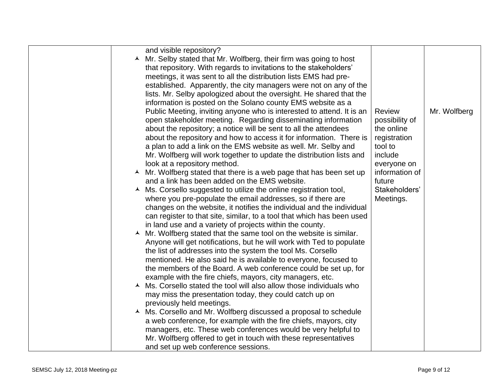| and visible repository?<br>▲ Mr. Selby stated that Mr. Wolfberg, their firm was going to host                                   |                |              |
|---------------------------------------------------------------------------------------------------------------------------------|----------------|--------------|
| that repository. With regards to invitations to the stakeholders'                                                               |                |              |
| meetings, it was sent to all the distribution lists EMS had pre-                                                                |                |              |
| established. Apparently, the city managers were not on any of the                                                               |                |              |
| lists. Mr. Selby apologized about the oversight. He shared that the                                                             |                |              |
| information is posted on the Solano county EMS website as a                                                                     |                |              |
| Public Meeting, inviting anyone who is interested to attend. It is an                                                           | <b>Review</b>  | Mr. Wolfberg |
| open stakeholder meeting. Regarding disseminating information                                                                   | possibility of |              |
| about the repository; a notice will be sent to all the attendees                                                                | the online     |              |
| about the repository and how to access it for information. There is                                                             | registration   |              |
| a plan to add a link on the EMS website as well. Mr. Selby and                                                                  | tool to        |              |
| Mr. Wolfberg will work together to update the distribution lists and                                                            | include        |              |
| look at a repository method.                                                                                                    | everyone on    |              |
| ▲ Mr. Wolfberg stated that there is a web page that has been set up                                                             | information of |              |
| and a link has been added on the EMS website.                                                                                   | future         |              |
| ▲ Ms. Corsello suggested to utilize the online registration tool,                                                               | Stakeholders'  |              |
| where you pre-populate the email addresses, so if there are                                                                     | Meetings.      |              |
| changes on the website, it notifies the individual and the individual                                                           |                |              |
| can register to that site, similar, to a tool that which has been used                                                          |                |              |
| in land use and a variety of projects within the county.<br>▲ Mr. Wolfberg stated that the same tool on the website is similar. |                |              |
| Anyone will get notifications, but he will work with Ted to populate                                                            |                |              |
| the list of addresses into the system the tool Ms. Corsello                                                                     |                |              |
| mentioned. He also said he is available to everyone, focused to                                                                 |                |              |
| the members of the Board. A web conference could be set up, for                                                                 |                |              |
| example with the fire chiefs, mayors, city managers, etc.                                                                       |                |              |
| A Ms. Corsello stated the tool will also allow those individuals who                                                            |                |              |
| may miss the presentation today, they could catch up on                                                                         |                |              |
| previously held meetings.                                                                                                       |                |              |
| ▲ Ms. Corsello and Mr. Wolfberg discussed a proposal to schedule                                                                |                |              |
| a web conference, for example with the fire chiefs, mayors, city                                                                |                |              |
| managers, etc. These web conferences would be very helpful to                                                                   |                |              |
| Mr. Wolfberg offered to get in touch with these representatives                                                                 |                |              |
| and set up web conference sessions.                                                                                             |                |              |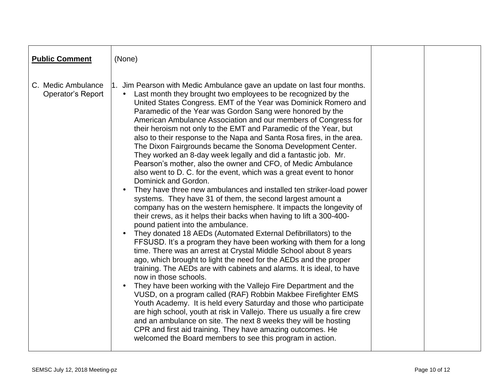| <b>Public Comment</b>                   | (None)                                                                                                                                                                                                                                                                                                                                                                                                                                                                                                                                                                                                                                                                                                                                                                                                                                                                                                                                                                                                                                                                                                                                                                                                                                                                                                                                                                                                                                                                                                                                                                                                                                                                                                                                                                                                                                                                                                                                                                                           |  |
|-----------------------------------------|--------------------------------------------------------------------------------------------------------------------------------------------------------------------------------------------------------------------------------------------------------------------------------------------------------------------------------------------------------------------------------------------------------------------------------------------------------------------------------------------------------------------------------------------------------------------------------------------------------------------------------------------------------------------------------------------------------------------------------------------------------------------------------------------------------------------------------------------------------------------------------------------------------------------------------------------------------------------------------------------------------------------------------------------------------------------------------------------------------------------------------------------------------------------------------------------------------------------------------------------------------------------------------------------------------------------------------------------------------------------------------------------------------------------------------------------------------------------------------------------------------------------------------------------------------------------------------------------------------------------------------------------------------------------------------------------------------------------------------------------------------------------------------------------------------------------------------------------------------------------------------------------------------------------------------------------------------------------------------------------------|--|
| C. Medic Ambulance<br>Operator's Report | 1. Jim Pearson with Medic Ambulance gave an update on last four months.<br>Last month they brought two employees to be recognized by the<br>$\bullet$<br>United States Congress. EMT of the Year was Dominick Romero and<br>Paramedic of the Year was Gordon Sang were honored by the<br>American Ambulance Association and our members of Congress for<br>their heroism not only to the EMT and Paramedic of the Year, but<br>also to their response to the Napa and Santa Rosa fires, in the area.<br>The Dixon Fairgrounds became the Sonoma Development Center.<br>They worked an 8-day week legally and did a fantastic job. Mr.<br>Pearson's mother, also the owner and CFO, of Medic Ambulance<br>also went to D. C. for the event, which was a great event to honor<br>Dominick and Gordon.<br>They have three new ambulances and installed ten striker-load power<br>systems. They have 31 of them, the second largest amount a<br>company has on the western hemisphere. It impacts the longevity of<br>their crews, as it helps their backs when having to lift a 300-400-<br>pound patient into the ambulance.<br>They donated 18 AEDs (Automated External Defibrillators) to the<br>FFSUSD. It's a program they have been working with them for a long<br>time. There was an arrest at Crystal Middle School about 8 years<br>ago, which brought to light the need for the AEDs and the proper<br>training. The AEDs are with cabinets and alarms. It is ideal, to have<br>now in those schools.<br>They have been working with the Vallejo Fire Department and the<br>VUSD, on a program called (RAF) Robbin Makbee Firefighter EMS<br>Youth Academy. It is held every Saturday and those who participate<br>are high school, youth at risk in Vallejo. There us usually a fire crew<br>and an ambulance on site. The next 8 weeks they will be hosting<br>CPR and first aid training. They have amazing outcomes. He<br>welcomed the Board members to see this program in action. |  |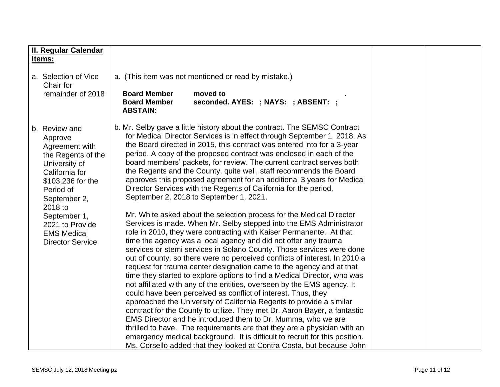| II. Regular Calendar                                                                                                                                                                                                                                 |                                                                                                                                                                                                                                                                                                                                                                                                                                                                                                                                                                                                                                                                                                                                                                                                                                                                                                                                                                                                                                                                                                                                                                                                                                                                                                                                                                                                                                                                                                                                                                                                                                                                                                                                                                                                                                                         |  |
|------------------------------------------------------------------------------------------------------------------------------------------------------------------------------------------------------------------------------------------------------|---------------------------------------------------------------------------------------------------------------------------------------------------------------------------------------------------------------------------------------------------------------------------------------------------------------------------------------------------------------------------------------------------------------------------------------------------------------------------------------------------------------------------------------------------------------------------------------------------------------------------------------------------------------------------------------------------------------------------------------------------------------------------------------------------------------------------------------------------------------------------------------------------------------------------------------------------------------------------------------------------------------------------------------------------------------------------------------------------------------------------------------------------------------------------------------------------------------------------------------------------------------------------------------------------------------------------------------------------------------------------------------------------------------------------------------------------------------------------------------------------------------------------------------------------------------------------------------------------------------------------------------------------------------------------------------------------------------------------------------------------------------------------------------------------------------------------------------------------------|--|
| Items:                                                                                                                                                                                                                                               |                                                                                                                                                                                                                                                                                                                                                                                                                                                                                                                                                                                                                                                                                                                                                                                                                                                                                                                                                                                                                                                                                                                                                                                                                                                                                                                                                                                                                                                                                                                                                                                                                                                                                                                                                                                                                                                         |  |
| a. Selection of Vice<br>Chair for<br>remainder of 2018                                                                                                                                                                                               | a. (This item was not mentioned or read by mistake.)<br><b>Board Member</b><br>moved to<br>seconded. AYES: ; NAYS: ; ABSENT: ;<br><b>Board Member</b><br><b>ABSTAIN:</b>                                                                                                                                                                                                                                                                                                                                                                                                                                                                                                                                                                                                                                                                                                                                                                                                                                                                                                                                                                                                                                                                                                                                                                                                                                                                                                                                                                                                                                                                                                                                                                                                                                                                                |  |
| b. Review and<br>Approve<br>Agreement with<br>the Regents of the<br>University of<br>California for<br>\$103,236 for the<br>Period of<br>September 2,<br>2018 to<br>September 1,<br>2021 to Provide<br><b>EMS Medical</b><br><b>Director Service</b> | b. Mr. Selby gave a little history about the contract. The SEMSC Contract<br>for Medical Director Services is in effect through September 1, 2018. As<br>the Board directed in 2015, this contract was entered into for a 3-year<br>period. A copy of the proposed contract was enclosed in each of the<br>board members' packets, for review. The current contract serves both<br>the Regents and the County, quite well, staff recommends the Board<br>approves this proposed agreement for an additional 3 years for Medical<br>Director Services with the Regents of California for the period,<br>September 2, 2018 to September 1, 2021.<br>Mr. White asked about the selection process for the Medical Director<br>Services is made. When Mr. Selby stepped into the EMS Administrator<br>role in 2010, they were contracting with Kaiser Permanente. At that<br>time the agency was a local agency and did not offer any trauma<br>services or stemi services in Solano County. Those services were done<br>out of county, so there were no perceived conflicts of interest. In 2010 a<br>request for trauma center designation came to the agency and at that<br>time they started to explore options to find a Medical Director, who was<br>not affiliated with any of the entities, overseen by the EMS agency. It<br>could have been perceived as conflict of interest. Thus, they<br>approached the University of California Regents to provide a similar<br>contract for the County to utilize. They met Dr. Aaron Bayer, a fantastic<br>EMS Director and he introduced them to Dr. Mumma, who we are<br>thrilled to have. The requirements are that they are a physician with an<br>emergency medical background. It is difficult to recruit for this position.<br>Ms. Corsello added that they looked at Contra Costa, but because John |  |